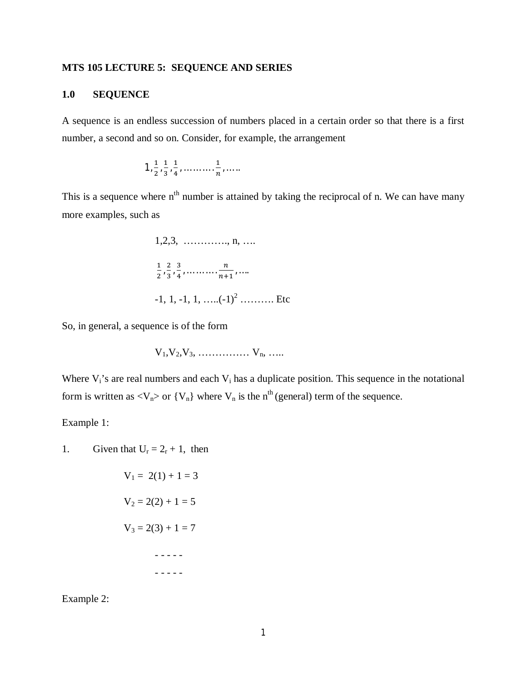### **MTS 105 LECTURE 5: SEQUENCE AND SERIES**

#### **1.0 SEQUENCE**

A sequence is an endless succession of numbers placed in a certain order so that there is a first number, a second and so on. Consider, for example, the arrangement

$$
1, \frac{1}{2}, \frac{1}{3}, \frac{1}{4}, \ldots, \frac{1}{n}, \ldots
$$

This is a sequence where  $n<sup>th</sup>$  number is attained by taking the reciprocal of n. We can have many more examples, such as



So, in general, a sequence is of the form

$$
V_1,V_2,V_3, \ldots \ldots \ldots \ldots \ldots \ldots V_n, \ldots \ldots
$$

Where  $V_i$ 's are real numbers and each  $V_i$  has a duplicate position. This sequence in the notational form is written as  $\langle V_n \rangle$  or  $\{V_n\}$  where  $V_n$  is the n<sup>th</sup> (general) term of the sequence.

Example 1:

1. Given that  $U_r = 2_r + 1$ , then

$$
V_1 = 2(1) + 1 = 3
$$
  
\n
$$
V_2 = 2(2) + 1 = 5
$$
  
\n
$$
V_3 = 2(3) + 1 = 7
$$

Example 2: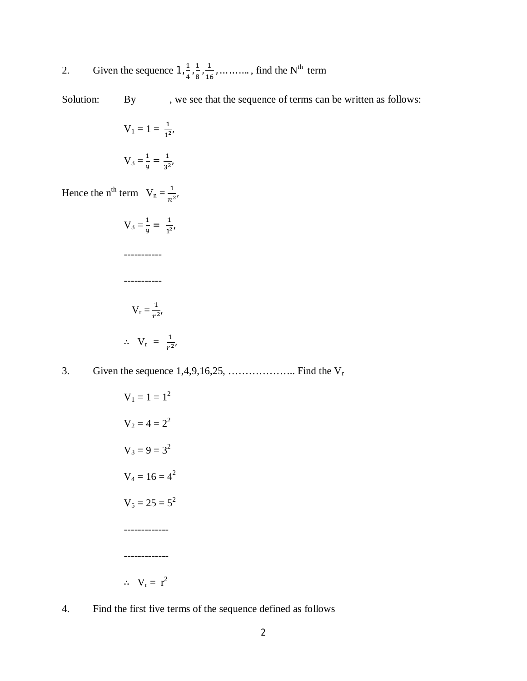2. Given the sequence  $1, \frac{1}{4}$  $\frac{1}{4}$ ,  $\frac{1}{8}$  $\frac{1}{8}$ ,  $\frac{1}{16}$  $\frac{1}{16}$ , ... ... ..., find the N<sup>th</sup> term

Solution: By , we see that the sequence of terms can be written as follows:

$$
V_1 = 1 = \frac{1}{1^{2'}}
$$

$$
V_3 = \frac{1}{9} = \frac{1}{3^{2'}}
$$

Hence the n<sup>th</sup> term  $V_n = \frac{1}{n^2}$  $rac{1}{n^2}$ 

$$
V_3 = \frac{1}{9} = \frac{1}{1^{2}}
$$
  
\n
$$
\dots
$$
  
\n
$$
\dots
$$
  
\n
$$
\dots
$$
  
\n
$$
V_r = \frac{1}{r^{2}}
$$
  
\n
$$
\therefore V_r = \frac{1}{r^{2}}
$$

3. Given the sequence 1,4,9,16,25, ……………….. Find the V<sup>r</sup>

$$
V_1 = 1 = 12
$$
  
\n
$$
V_2 = 4 = 22
$$
  
\n
$$
V_3 = 9 = 32
$$
  
\n
$$
V_4 = 16 = 42
$$
  
\n
$$
V_5 = 25 = 52
$$
  
\n
$$
S_5 = 25 = 52
$$

4. Find the first five terms of the sequence defined as follows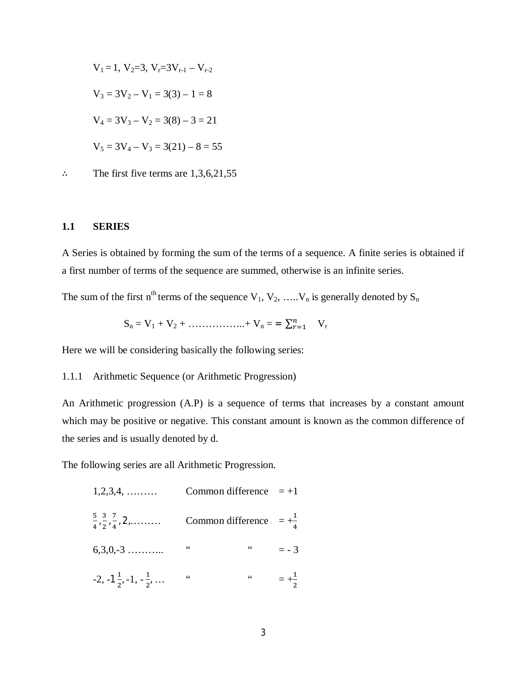$$
V_1 = 1, V_2 = 3, V_r = 3V_{r-1} - V_{r-2}
$$
  
\n
$$
V_3 = 3V_2 - V_1 = 3(3) - 1 = 8
$$
  
\n
$$
V_4 = 3V_3 - V_2 = 3(8) - 3 = 21
$$
  
\n
$$
V_5 = 3V_4 - V_3 = 3(21) - 8 = 55
$$

∴ The first five terms are 1,3,6,21,55

#### **1.1 SERIES**

A Series is obtained by forming the sum of the terms of a sequence. A finite series is obtained if a first number of terms of the sequence are summed, otherwise is an infinite series.

The sum of the first n<sup>th</sup> terms of the sequence  $V_1, V_2, \ldots, V_n$  is generally denoted by  $S_n$ 

$$
S_n = V_1 + V_2 + \dots + \dots + V_n = \sum_{r=1}^n V_r
$$

Here we will be considering basically the following series:

#### 1.1.1 Arithmetic Sequence (or Arithmetic Progression)

An Arithmetic progression (A.P) is a sequence of terms that increases by a constant amount which may be positive or negative. This constant amount is known as the common difference of the series and is usually denoted by d.

The following series are all Arithmetic Progression.

| $1,2,3,4, \ldots$                                  | Common difference $=+1$           |            |                 |
|----------------------------------------------------|-----------------------------------|------------|-----------------|
| $\frac{5}{4}, \frac{3}{2}, \frac{7}{4}, 2, \ldots$ | Common difference $=+\frac{1}{4}$ |            |                 |
| $6,3,0,-3$                                         | 66                                | $\sqrt{6}$ | $= -3$          |
| $-2, -1\frac{1}{2}, -1, -\frac{1}{2}, \ldots$      | 66                                | $\sqrt{6}$ | $=+\frac{1}{2}$ |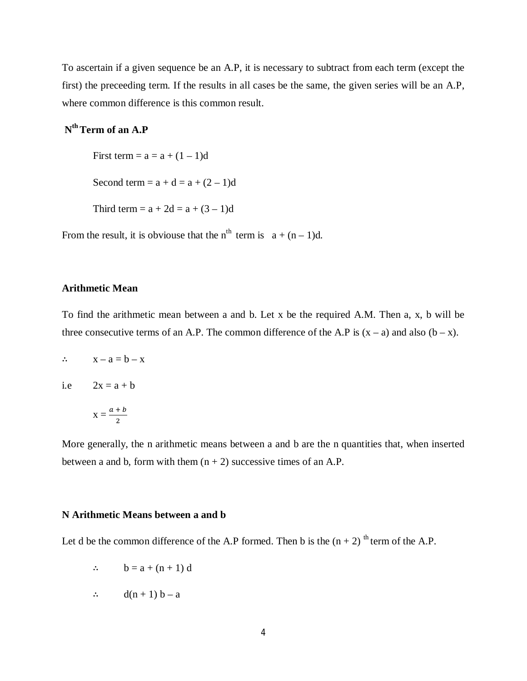To ascertain if a given sequence be an A.P, it is necessary to subtract from each term (except the first) the preceeding term. If the results in all cases be the same, the given series will be an A.P, where common difference is this common result.

# **N th Term of an A.P**

First term =  $a = a + (1 - 1)d$ Second term =  $a + d = a + (2 - 1)d$ Third term =  $a + 2d = a + (3 - 1)d$ 

From the result, it is obviouse that the n<sup>th</sup> term is  $a + (n-1)d$ .

#### **Arithmetic Mean**

To find the arithmetic mean between a and b. Let x be the required A.M. Then a, x, b will be three consecutive terms of an A.P. The common difference of the A.P is  $(x - a)$  and also  $(b - x)$ .

 $\therefore$   $x - a = b - x$ 

i.e  $2x = a + b$ 

$$
X=\frac{a+b}{2}
$$

More generally, the n arithmetic means between a and b are the n quantities that, when inserted between a and b, form with them  $(n + 2)$  successive times of an A.P.

#### **N Arithmetic Means between a and b**

Let d be the common difference of the A.P formed. Then b is the  $(n + 2)$ <sup>th</sup> term of the A.P.

- $\therefore$  b = a + (n + 1) d
- $\therefore$  d(n + 1) b a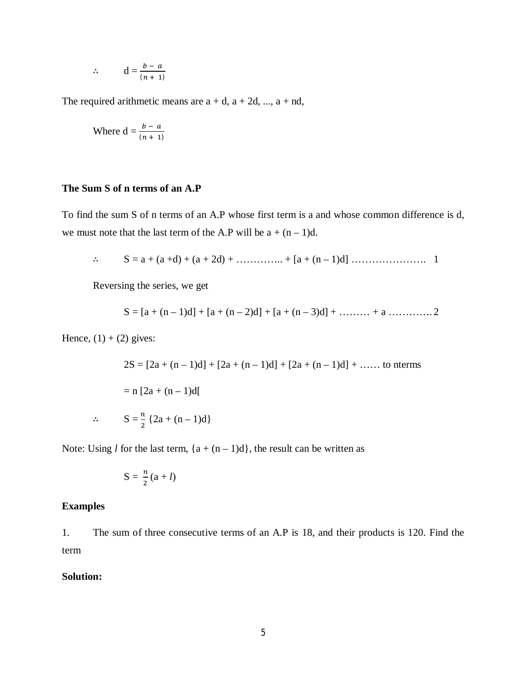$$
\therefore \qquad d = \frac{b-a}{(n+1)}
$$

The required arithmetic means are  $a + d$ ,  $a + 2d$ , ...,  $a + nd$ ,

Where 
$$
d = \frac{b - a}{(n + 1)}
$$

#### **The Sum S of n terms of an A.P**

To find the sum S of n terms of an A.P whose first term is a and whose common difference is d, we must note that the last term of the A.P will be  $a + (n-1)d$ .

∴ S = a + (a +d) + (a + 2d) + ………….. + [a + (n – 1)d] …………………. 1

Reversing the series, we get

$$
S = [a + (n-1)d] + [a + (n-2)d] + [a + (n-3)d] + \dots + a \dots
$$

Hence,  $(1) + (2)$  gives:

 $2S = [2a + (n-1)d] + [2a + (n-1)d] + [2a + (n-1)d] + \dots$  to nterms  $= n [2a + (n-1)d]$ ∴  $S = \frac{n}{2} {2a + (n-1)d}$ 

Note: Using *l* for the last term,  ${a + (n-1)d}$ , the result can be written as

$$
S=\frac{n}{2}(a+l)
$$

#### **Examples**

1. The sum of three consecutive terms of an A.P is 18, and their products is 120. Find the term

## **Solution:**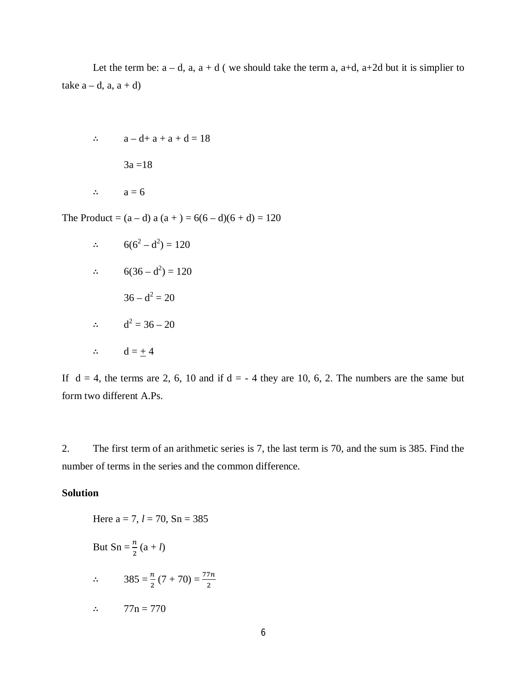Let the term be:  $a - d$ ,  $a$ ,  $a + d$  (we should take the term a,  $a+d$ ,  $a+2d$  but it is simplier to take  $a - d$ ,  $a$ ,  $a + d$ )

```
∴ a - d + a + a + d = 183a = 18∴ a = 6
```
The Product =  $(a-d)$  a  $(a + ) = 6(6-d)(6+d) = 120$ 

∴ 
$$
6(6^2 - d^2) = 120
$$
  
\n∴  $6(36 - d^2) = 120$   
\n $36 - d^2 = 20$   
\n∴  $d^2 = 36 - 20$   
\n∴  $d = \pm 4$ 

If  $d = 4$ , the terms are 2, 6, 10 and if  $d = -4$  they are 10, 6, 2. The numbers are the same but form two different A.Ps.

2. The first term of an arithmetic series is 7, the last term is 70, and the sum is 385. Find the number of terms in the series and the common difference.

## **Solution**

Here a = 7, 
$$
l = 70
$$
, Sn = 385  
But Sn =  $\frac{n}{2}$  (a + *l*)  
  

$$
\therefore \qquad 385 = \frac{n}{2}(7 + 70) = \frac{77n}{2}
$$
  

$$
\therefore \qquad 77n = 770
$$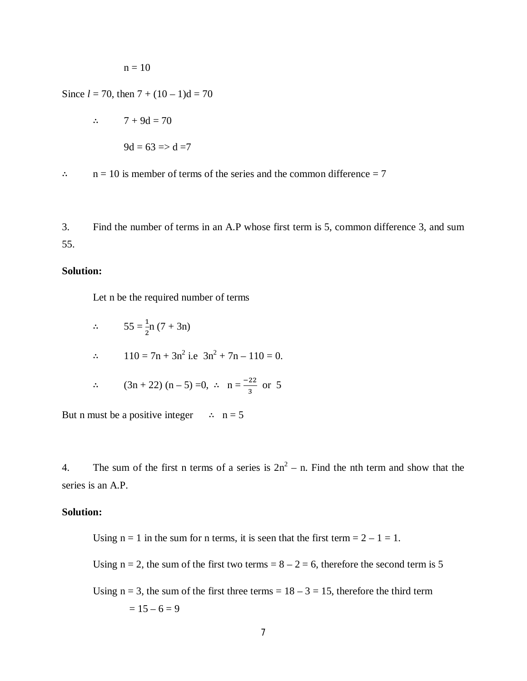$n = 10$ 

Since  $l = 70$ , then  $7 + (10 - 1)d = 70$ 

$$
\therefore \qquad 7 + 9d = 70
$$

 $9d = 63 \Rightarrow d = 7$ 

 $\therefore$  n = 10 is member of terms of the series and the common difference = 7

3. Find the number of terms in an A.P whose first term is 5, common difference 3, and sum 55.

## **Solution:**

Let n be the required number of terms

$$
\therefore \qquad 55 = \frac{1}{2}n(7 + 3n)
$$
\n
$$
\therefore \qquad 110 = 7n + 3n^2 \text{ i.e } 3n^2 + 7n - 110 = 0.
$$
\n
$$
\therefore \qquad (3n + 22)(n - 5) = 0, \ \therefore \ n = \frac{-22}{3} \text{ or } 5
$$

But n must be a positive integer  $\therefore$  n = 5

4. The sum of the first n terms of a series is  $2n^2 - n$ . Find the nth term and show that the series is an A.P.

### **Solution:**

Using  $n = 1$  in the sum for n terms, it is seen that the first term  $= 2 - 1 = 1$ .

Using  $n = 2$ , the sum of the first two terms =  $8 - 2 = 6$ , therefore the second term is 5

Using  $n = 3$ , the sum of the first three terms =  $18 - 3 = 15$ , therefore the third term  $= 15 - 6 = 9$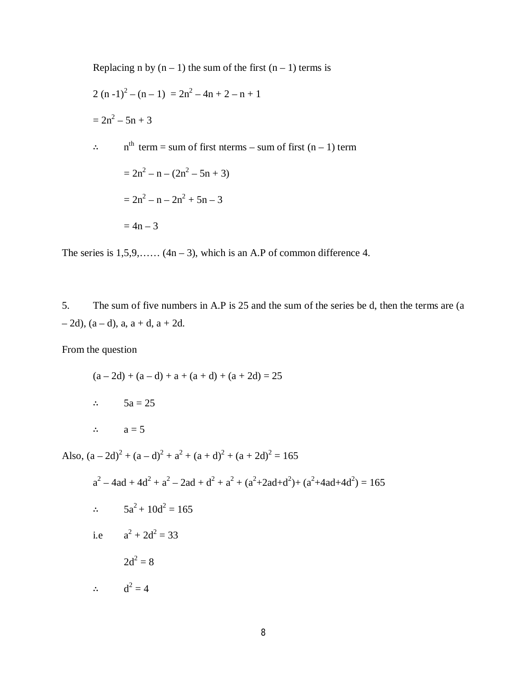Replacing n by (n – 1) the sum of the first (n – 1) terms is  
\n2 (n - 1)<sup>2</sup> – (n – 1) = 2n<sup>2</sup> – 4n + 2 – n + 1  
\n= 2n<sup>2</sup> – 5n + 3  
\n
$$
\therefore
$$
 n<sup>th</sup> term = sum of first terms – sum of first (n – 1) term  
\n= 2n<sup>2</sup> – n – (2n<sup>2</sup> – 5n + 3)  
\n= 2n<sup>2</sup> – n – 2n<sup>2</sup> + 5n – 3  
\n= 4n – 3

The series is  $1,5,9,...$   $(4n-3)$ , which is an A.P of common difference 4.

5. The sum of five numbers in A.P is 25 and the sum of the series be d, then the terms are (a  $-2d$ ,  $(a-d)$ ,  $a, a+d, a+2d$ .

From the question

 $(a - 2d) + (a - d) + a + (a + d) + (a + 2d) = 25$ ∴ 5a = 25

∴  $a = 5$ 

Also,  $(a - 2d)^2 + (a - d)^2 + a^2 + (a + d)^2 + (a + 2d)^2 = 165$ 

$$
a2 - 4ad + 4d2 + a2 - 2ad + d2 + a2 + (a2+2ad+d2) + (a2+4ad+4d2) = 165
$$
  
∴ 5a<sup>2</sup> + 10d<sup>2</sup> = 165  
i.e a<sup>2</sup> + 2d<sup>2</sup> = 33  
2d<sup>2</sup> = 8  
∴ d<sup>2</sup> = 4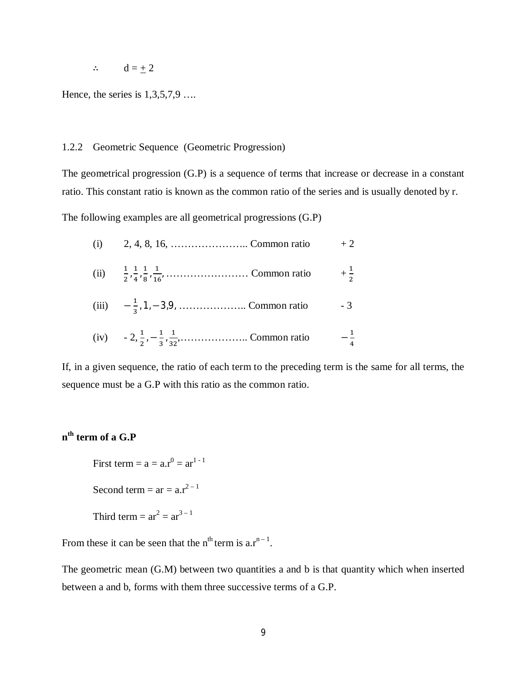∴  $d = \pm 2$ 

Hence, the series is 1,3,5,7,9 ….

## 1.2.2 Geometric Sequence (Geometric Progression)

The geometrical progression (G.P) is a sequence of terms that increase or decrease in a constant ratio. This constant ratio is known as the common ratio of the series and is usually denoted by r.

The following examples are all geometrical progressions (G.P)

| (ii) $\frac{1}{2}, \frac{1}{4}, \frac{1}{8}, \frac{1}{16}, \dots, \dots, \dots, \dots$ Common ratio $+\frac{1}{2}$ |                |
|--------------------------------------------------------------------------------------------------------------------|----------------|
|                                                                                                                    |                |
| (iv) $-2, \frac{1}{2}, -\frac{1}{3}, \frac{1}{32}, \dots$ Common ratio                                             | $-\frac{1}{4}$ |

If, in a given sequence, the ratio of each term to the preceding term is the same for all terms, the sequence must be a G.P with this ratio as the common ratio.

# **n th term of a G.P**

First term =  $a = a.r^0 = ar^{1-1}$ Second term =  $ar = a.r^{2-1}$ 

Third term = 
$$
ar^2 = ar^{3-1}
$$

From these it can be seen that the  $n^{th}$  term is  $a.r^{n-1}$ .

The geometric mean (G.M) between two quantities a and b is that quantity which when inserted between a and b, forms with them three successive terms of a G.P.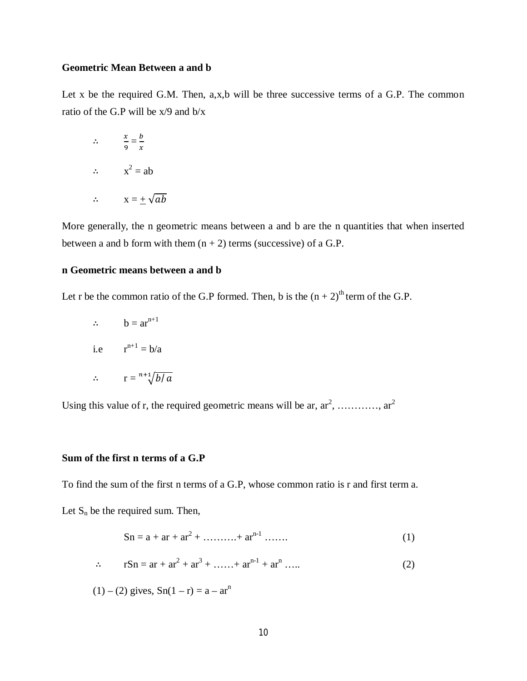## **Geometric Mean Between a and b**

Let x be the required G.M. Then, a,x,b will be three successive terms of a G.P. The common ratio of the G.P will be x/9 and b/x

$$
\therefore \frac{x}{9} = \frac{b}{x}
$$
  

$$
\therefore x^2 = ab
$$
  

$$
\therefore x = \pm \sqrt{ab}
$$

More generally, the n geometric means between a and b are the n quantities that when inserted between a and b form with them  $(n + 2)$  terms (successive) of a G.P.

## **n Geometric means between a and b**

Let r be the common ratio of the G.P formed. Then, b is the  $(n + 2)^{th}$  term of the G.P.

$$
\therefore \qquad b = ar^{n+1}
$$
  
i.e 
$$
r^{n+1} = b/a
$$

$$
\therefore \qquad r = \sqrt[n+1]{b/a}
$$

Using this value of r, the required geometric means will be ar,  $ar^2$ , ...........,  $ar^2$ 

### **Sum of the first n terms of a G.P**

To find the sum of the first n terms of a G.P, whose common ratio is r and first term a. Let  $S_n$  be the required sum. Then,

$$
Sn = a + ar + ar2 + \dots + arn-1 \dots
$$
 (1)

$$
\therefore \qquad rSn = ar + ar^2 + ar^3 + \dots + ar^{n-1} + ar^n \dots \tag{2}
$$

$$
(1) - (2)
$$
 gives,  $Sn(1 - r) = a - ar^n$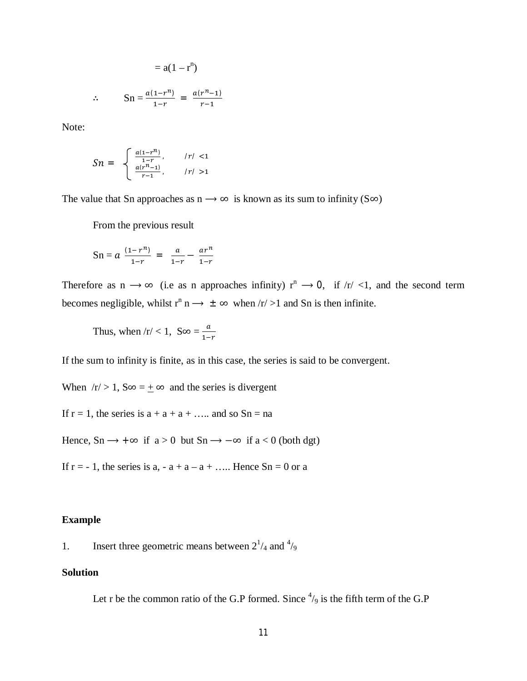$$
= a(1-r^n)
$$

$$
\therefore \qquad \operatorname{Sn} = \frac{a(1 - r^n)}{1 - r} = \frac{a(r^n - 1)}{r - 1}
$$

Note:

$$
Sn = \begin{cases} \frac{a(1-r^n)}{1-r}, & /r/ < 1\\ \frac{a(r^n-1)}{r-1}, & /r/ > 1 \end{cases}
$$

The value that Sn approaches as  $n \rightarrow \infty$  is known as its sum to infinity (S $\infty$ )

From the previous result

$$
Sn = a \frac{(1 - r^n)}{1 - r} = \frac{a}{1 - r} - \frac{ar^n}{1 - r}
$$

Therefore as  $n \to \infty$  (i.e as n approaches infinity)  $r^n \to 0$ , if  $\sqrt{r}$  <1, and the second term becomes negligible, whilst  $r^n$  n  $\rightarrow \pm \infty$  when  $\pi/2$  and Sn is then infinite.

Thus, when  $/r < 1$ ,  $S\infty = \frac{a}{1}$  $1-r$ 

If the sum to infinity is finite, as in this case, the series is said to be convergent.

When  $/r > 1$ , S∞ =  $\pm \infty$  and the series is divergent

If  $r = 1$ , the series is  $a + a + a + \dots$  and so  $Sn = na$ 

Hence,  $Sn \rightarrow +\infty$  if  $a > 0$  but  $Sn \rightarrow -\infty$  if  $a < 0$  (both dgt)

If  $r = -1$ , the series is  $a_1 - a + a - a + \dots$  Hence  $Sn = 0$  or a

### **Example**

1. Insert three geometric means between  $2^{1/4}$  and  $4/9$ 

## **Solution**

Let r be the common ratio of the G.P formed. Since  $\frac{4}{9}$  is the fifth term of the G.P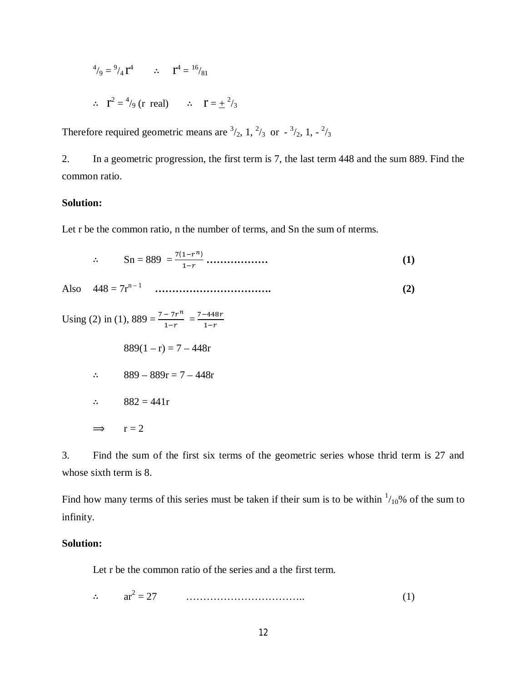$$
^{4}/_{9} = {}^{9}/_{4} \text{r}^{4} \qquad \therefore \qquad \text{r}^{4} = {}^{16}/_{81}
$$

$$
\therefore \quad \mathbf{T}^2 = \frac{4}{9} \text{ (r real)} \qquad \therefore \qquad \mathbf{T} = \frac{1}{2} \frac{2}{3}
$$

Therefore required geometric means are  $\frac{3}{2}$ , 1,  $\frac{2}{3}$  or  $\frac{3}{2}$ , 1,  $\frac{2}{3}$ 

2. In a geometric progression, the first term is 7, the last term 448 and the sum 889. Find the common ratio.

### **Solution:**

Let r be the common ratio, n the number of terms, and Sn the sum of nterms.

$$
\therefore \qquad \text{Sn} = 889 = \frac{7(1 - r^n)}{1 - r} \dots \dots \dots \dots \dots \tag{1}
$$

Also 448 = 7rn – <sup>1</sup> **……………………………. (2)**

Using (2) in (1),  $889 = \frac{7-7r^n}{1+r}$  $\frac{-7r^n}{1-r} = \frac{7-448r}{1-r}$  $\frac{1}{1-r}$ 

$$
889(1 - r) = 7 - 448r
$$

$$
\therefore \qquad 889 - 889r = 7 - 448r
$$

$$
\therefore \qquad 882 = 441r
$$

$$
\implies \qquad r=2
$$

3. Find the sum of the first six terms of the geometric series whose thrid term is 27 and whose sixth term is 8.

Find how many terms of this series must be taken if their sum is to be within  $\frac{1}{10}$ % of the sum to infinity.

## **Solution:**

Let r be the common ratio of the series and a the first term.

 $\mathcal{L}^{\text{max}}$ 2 = 27 …………………………….. (1)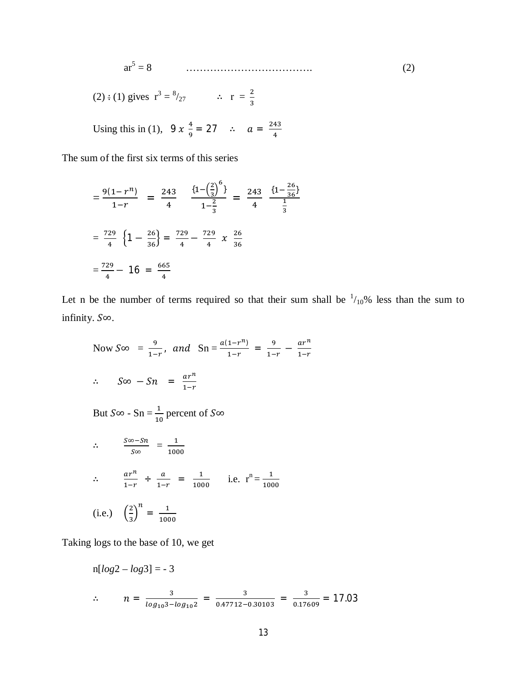$$
ar5 = 8
$$
 (2)

(2) : (1) gives 
$$
r^3 = \frac{8}{27}
$$
  $\therefore$   $r = \frac{2}{3}$ 

Using this in (1), 
$$
9x \frac{4}{9} = 27
$$
  $\therefore a = \frac{243}{4}$ 

The sum of the first six terms of this series

$$
=\frac{9(1-r^n)}{1-r} = \frac{243}{4} \frac{\left\{1-\left(\frac{2}{3}\right)^6\right\}}{1-\frac{2}{3}} = \frac{243}{4} \frac{\left\{1-\frac{26}{36}\right\}}{\frac{1}{3}}
$$

$$
=\frac{729}{4} \left\{1-\frac{26}{36}\right\} = \frac{729}{4} - \frac{729}{4} \times \frac{26}{36}
$$

$$
=\frac{729}{4} - 16 = \frac{665}{4}
$$

Let n be the number of terms required so that their sum shall be  $\frac{1}{10}\%$  less than the sum to infinity.  $S\infty$ .

Now 
$$
S \infty = \frac{9}{1-r}
$$
, and  $Sn = \frac{a(1-r^n)}{1-r} = \frac{9}{1-r} - \frac{ar^n}{1-r}$   
 $\therefore S \infty - Sn = \frac{ar^n}{1-r}$ 

But  $S\infty$  - Sn =  $\frac{1}{10}$  percent of  $S\infty$ 

$$
\therefore \frac{S\infty - Sn}{S\infty} = \frac{1}{1000}
$$
  

$$
\therefore \frac{ar^n}{1-r} \div \frac{a}{1-r} = \frac{1}{1000} \quad \text{i.e. } r^n = \frac{1}{1000}
$$
  
(i.e.)  $\left(\frac{2}{3}\right)^n = \frac{1}{1000}$ 

Taking logs to the base of 10, we get

n[
$$
log2 - log3
$$
] = -3  
\n
$$
\therefore n = \frac{3}{log_{10}3 - log_{10}2} = \frac{3}{0.47712 - 0.30103} = \frac{3}{0.17609} = 17.03
$$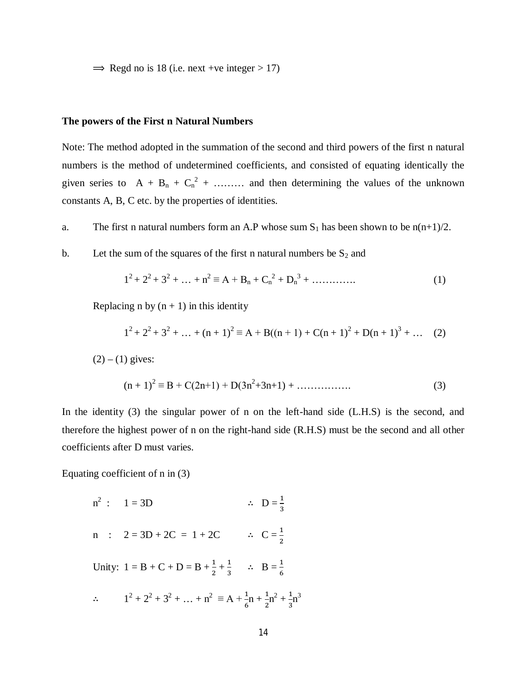$\Rightarrow$  Regd no is 18 (i.e. next +ve integer > 17)

### **The powers of the First n Natural Numbers**

Note: The method adopted in the summation of the second and third powers of the first n natural numbers is the method of undetermined coefficients, and consisted of equating identically the given series to  $A + B_n + C_n^2 + \dots$  and then determining the values of the unknown constants A, B, C etc. by the properties of identities.

a. The first n natural numbers form an A.P whose sum  $S_1$  has been shown to be n(n+1)/2.

b. Let the sum of the squares of the first n natural numbers be  $S_2$  and

$$
12 + 22 + 32 + ... + n2 \equiv A + Bn + Cn2 + Dn3 + ...
$$
 (1)

Replacing n by  $(n + 1)$  in this identity

$$
12 + 22 + 32 + ... + (n + 1)2 \equiv A + B((n + 1) + C(n + 1)2 + D(n + 1)3 + ... (2)
$$

 $(2) - (1)$  gives:

$$
(n+1)^2 \equiv B + C(2n+1) + D(3n^2+3n+1) + \dots \dots \dots \dots \tag{3}
$$

In the identity (3) the singular power of n on the left-hand side (L.H.S) is the second, and therefore the highest power of n on the right-hand side (R.H.S) must be the second and all other coefficients after D must varies.

Equating coefficient of n in (3)

n<sup>2</sup> : 1 = 3D   
\n
$$
\therefore D = \frac{1}{3}
$$
\n
$$
\therefore D = \frac{1}{3}
$$
\n
$$
\therefore C = \frac{1}{2}
$$
\nUnity: 1 = B + C + D = B + \frac{1}{2} + \frac{1}{3}   
\n
$$
\therefore B = \frac{1}{6}
$$
\n
$$
\therefore 1^{2} + 2^{2} + 3^{2} + \dots + n^{2} \equiv A + \frac{1}{6}n + \frac{1}{2}n^{2} + \frac{1}{3}n^{3}
$$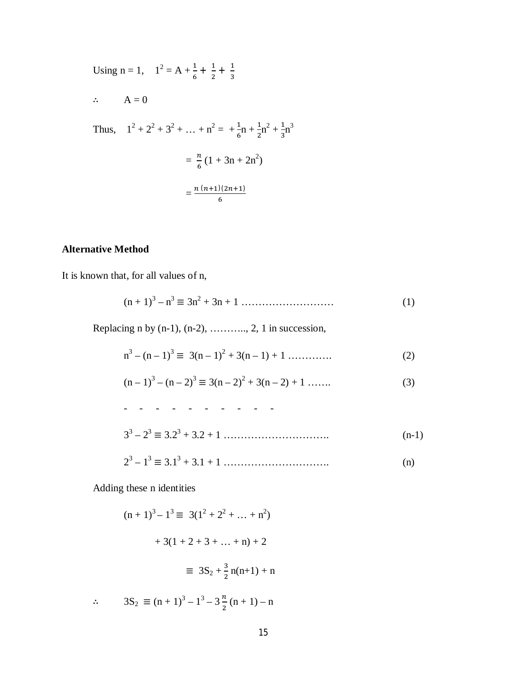Using n = 1, 
$$
1^2 = A + \frac{1}{6} + \frac{1}{2} + \frac{1}{3}
$$
  
\n  
\n $\therefore A = 0$   
\nThus,  $1^2 + 2^2 + 3^2 + \dots + n^2 = \frac{1}{6}n + \frac{1}{2}n^2 + \frac{1}{3}n^3$   
\n $= \frac{n}{6}(1 + 3n + 2n^2)$   
\n $= \frac{n (n+1)(2n+1)}{6}$ 

# **Alternative Method**

It is known that, for all values of n,

$$
(n+1)^3 - n^3 \equiv 3n^2 + 3n + 1 \dots \dots \dots \dots \dots \dots \dots \dots \tag{1}
$$

Replacing n by  $(n-1)$ ,  $(n-2)$ , ........., 2, 1 in succession,

$$
n3 - (n-1)3 \equiv 3(n-1)2 + 3(n-1) + 1 \dots \dots \dots \dots \tag{2}
$$

$$
(n-1)3 - (n-2)3 \equiv 3(n-2)2 + 3(n-2) + 1 \dots
$$
 (3)

$$
33 - 23 \equiv 3 \cdot 23 + 3 \cdot 2 + 1
$$
 (n-1)  

$$
23 - 13 \equiv 3 \cdot 13 + 3 \cdot 1 + 1
$$
 (n) (n)

Adding these n identities

$$
(n + 1)3 - 13 \equiv 3(12 + 22 + ... + n2)
$$
  
+ 3(1 + 2 + 3 + ... + n) + 2  

$$
\equiv 3S_2 + \frac{3}{2}n(n+1) + n
$$
  

$$
\therefore 3S_2 \equiv (n + 1)3 - 13 - 3\frac{n}{2}(n + 1) - n
$$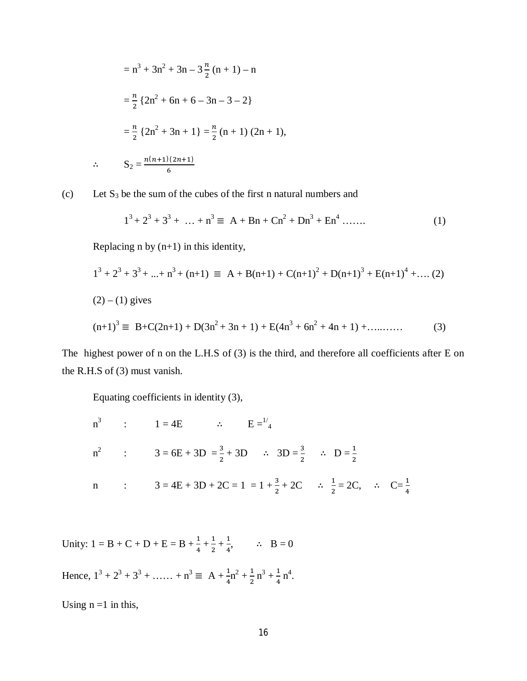$$
= n3 + 3n2 + 3n - 3\frac{n}{2}(n + 1) - n
$$
  

$$
= \frac{n}{2} \{2n2 + 6n + 6 - 3n - 3 - 2\}
$$
  

$$
= \frac{n}{2} \{2n2 + 3n + 1\} = \frac{n}{2}(n + 1) (2n + 1),
$$
  
∴ 
$$
S_2 = \frac{n(n+1)(2n+1)}{6}
$$

(c) Let  $S_3$  be the sum of the cubes of the first n natural numbers and

$$
13 + 23 + 33 + ... + n3 \equiv A + Bn + Cn2 + Dn3 + En4 ...
$$
 (1)

Replacing  $n$  by  $(n+1)$  in this identity,

$$
1^3 + 2^3 + 3^3 + \dots + n^3 + (n+1) \equiv A + B(n+1) + C(n+1)^2 + D(n+1)^3 + E(n+1)^4 + \dots (2)
$$
  
(2) – (1) gives  

$$
(n+1)^3 \equiv B + C(2n+1) + D(3n^2 + 3n + 1) + E(4n^3 + 6n^2 + 4n + 1) + \dots (3)
$$

The highest power of n on the L.H.S of (3) is the third, and therefore all coefficients after E on the R.H.S of (3) must vanish.

Equating coefficients in identity (3),

n<sup>3</sup> : 1 = 4E 
$$
\therefore
$$
 E=<sup>1/4</sup>  
\nn<sup>2</sup> : 3 = 6E + 3D =  $\frac{3}{2}$  + 3D  $\therefore$  3D =  $\frac{3}{2}$   $\therefore$  D =  $\frac{1}{2}$   
\nn : 3 = 4E + 3D + 2C = 1 = 1 +  $\frac{3}{2}$  + 2C  $\therefore$   $\frac{1}{2}$  = 2C,  $\therefore$  C= $\frac{1}{4}$ 

Unity:  $1 = B + C + D + E = B + \frac{1}{4} + \frac{1}{2}$  $\frac{1}{2} + \frac{1}{4}$  $\frac{1}{4}$ ,  $\therefore$  B = 0

Hence,  $1^3 + 2^3 + 3^3 + \dots + n^3 \equiv A + \frac{1}{4}n^2 + \frac{1}{2}$  $\frac{1}{2}n^3 + \frac{1}{4}$  $\frac{1}{4}$  n<sup>4</sup>.

Using  $n = 1$  in this,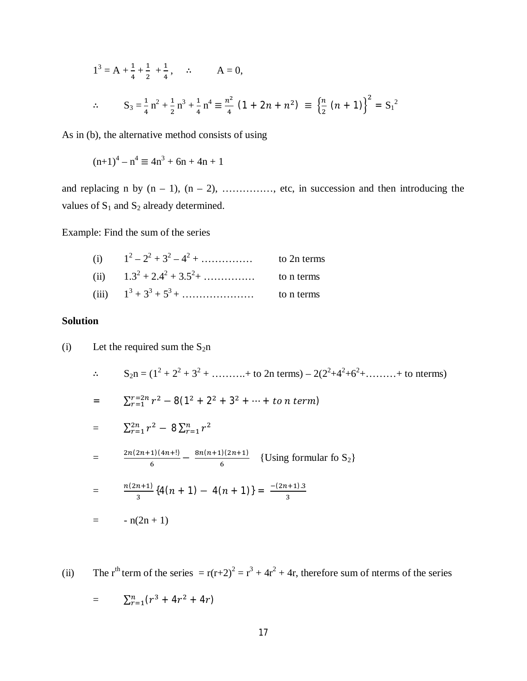$$
1^{3} = A + \frac{1}{4} + \frac{1}{2} + \frac{1}{4}, \quad \therefore \quad A = 0,
$$
  

$$
\therefore \quad S_{3} = \frac{1}{4} n^{2} + \frac{1}{2} n^{3} + \frac{1}{4} n^{4} \equiv \frac{n^{2}}{4} (1 + 2n + n^{2}) \equiv \left\{ \frac{n}{2} (n + 1) \right\}^{2} = S_{1}^{2}
$$

As in (b), the alternative method consists of using

$$
(n+1)^4 - n^4 \equiv 4n^3 + 6n + 4n + 1
$$

and replacing n by  $(n - 1)$ ,  $(n - 2)$ , ............., etc, in succession and then introducing the values of  $S_1$  and  $S_2$  already determined.

Example: Find the sum of the series

| (i) $1^2-2^2+3^2-4^2+\dots$                     | to 2n terms |
|-------------------------------------------------|-------------|
| (ii) $1.3^2 + 2.4^2 + 3.5^2 + \dots$ to n terms |             |
| (iii) $1^3 + 3^3 + 5^3 + \dots$                 | to n terms  |

#### **Solution**

(i) Let the required sum the S<sub>2</sub>n  
\n
$$
\therefore S_{2n} = (1^{2} + 2^{2} + 3^{2} + \dots + \text{ to 2n terms}) - 2(2^{2} + 4^{2} + 6^{2} + \dots + \text{ to terms})
$$
\n
$$
= \sum_{r=1}^{r=2n} r^{2} - 8(1^{2} + 2^{2} + 3^{2} + \dots + \text{ to } n \text{ term})
$$
\n
$$
= \sum_{r=1}^{2n} r^{2} - 8 \sum_{r=1}^{n} r^{2}
$$
\n
$$
= \frac{2n(2n+1)(4n+1)}{6} - \frac{8n(n+1)(2n+1)}{6} \{Using formular \text{ to } S_{2}\}
$$
\n
$$
= \frac{n(2n+1)}{3} \{4(n+1) - 4(n+1)\} = \frac{-(2n+1)3}{3}
$$
\n
$$
= -n(2n+1)
$$

(ii) The r<sup>th</sup> term of the series  $= r(r+2)^2 = r^3 + 4r^2 + 4r$ , therefore sum of nterms of the series  $=\sum_{r=1}^n (r^3 + 4r^2 + 4r)$